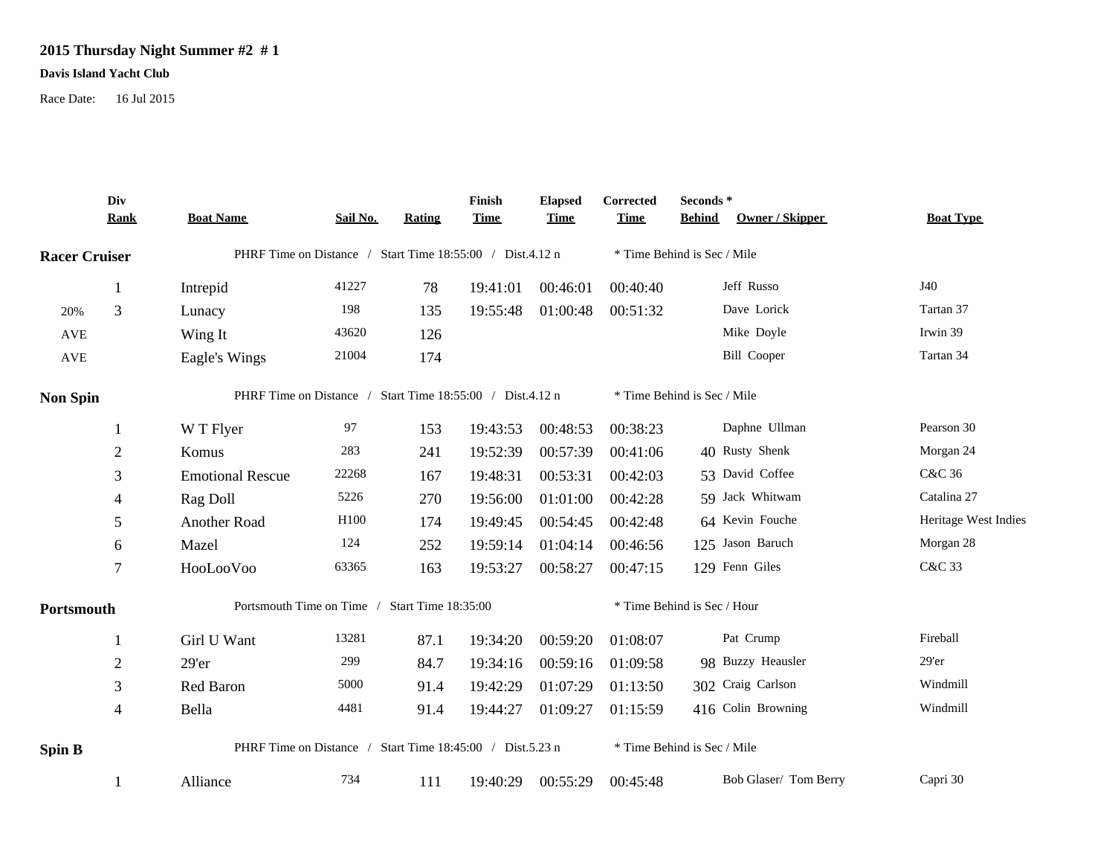## **2015 Thursday Night Summer #2 # 1**

## **Davis Island Yacht Club**

Race Date: 16 Jul 2015

|                      | Div<br><b>Rank</b> | <b>Boat Name</b>                                          | Sail No. | Rating | Finish<br><b>Time</b> | <b>Elapsed</b><br><b>Time</b> | Corrected<br><b>Time</b>    | Seconds*<br>Owner / Skipper<br><b>Behind</b> | <b>Boat Type</b>     |  |
|----------------------|--------------------|-----------------------------------------------------------|----------|--------|-----------------------|-------------------------------|-----------------------------|----------------------------------------------|----------------------|--|
| <b>Racer Cruiser</b> |                    | PHRF Time on Distance / Start Time 18:55:00 / Dist.4.12 n |          |        |                       |                               | * Time Behind is Sec / Mile |                                              |                      |  |
|                      | $\mathbf{1}$       | Intrepid                                                  | 41227    | 78     | 19:41:01              | 00:46:01                      | 00:40:40                    | Jeff Russo                                   | J40                  |  |
| 20%                  | 3                  | Lunacy                                                    | 198      | 135    | 19:55:48              | 01:00:48                      | 00:51:32                    | Dave Lorick                                  | Tartan 37            |  |
| <b>AVE</b>           |                    | Wing It                                                   | 43620    | 126    |                       |                               |                             | Mike Doyle                                   | Irwin 39             |  |
| AVE                  |                    | Eagle's Wings                                             | 21004    | 174    |                       |                               |                             | <b>Bill Cooper</b>                           | Tartan 34            |  |
| <b>Non Spin</b>      |                    | PHRF Time on Distance / Start Time 18:55:00 / Dist.4.12 n |          |        |                       |                               | * Time Behind is Sec / Mile |                                              |                      |  |
|                      | 1                  | W T Flyer                                                 | 97       | 153    | 19:43:53              | 00:48:53                      | 00:38:23                    | Daphne Ullman                                | Pearson 30           |  |
|                      | $\boldsymbol{2}$   | Komus                                                     | 283      | 241    | 19:52:39              | 00:57:39                      | 00:41:06                    | 40 Rusty Shenk                               | Morgan 24            |  |
|                      | 3                  | <b>Emotional Rescue</b>                                   | 22268    | 167    | 19:48:31              | 00:53:31                      | 00:42:03                    | 53 David Coffee                              | C&C 36               |  |
|                      | 4                  | Rag Doll                                                  | 5226     | 270    | 19:56:00              | 01:01:00                      | 00:42:28                    | 59 Jack Whitwam                              | Catalina 27          |  |
|                      | 5                  | Another Road                                              | H100     | 174    | 19:49:45              | 00:54:45                      | 00:42:48                    | 64 Kevin Fouche                              | Heritage West Indies |  |
|                      | 6                  | Mazel                                                     | 124      | 252    | 19:59:14              | 01:04:14                      | 00:46:56                    | 125 Jason Baruch                             | Morgan 28            |  |
|                      | $\tau$             | HooLooVoo                                                 | 63365    | 163    | 19:53:27              | 00:58:27                      | 00:47:15                    | 129 Fenn Giles                               | C&C 33               |  |
| Portsmouth           |                    | Portsmouth Time on Time / Start Time 18:35:00             |          |        |                       |                               | * Time Behind is Sec / Hour |                                              |                      |  |
|                      | -1                 | Girl U Want                                               | 13281    | 87.1   | 19:34:20              | 00:59:20                      | 01:08:07                    | Pat Crump                                    | Fireball             |  |
|                      | $\overline{2}$     | 29'er                                                     | 299      | 84.7   | 19:34:16              | 00:59:16                      | 01:09:58                    | 98 Buzzy Heausler                            | $29'$ er             |  |
|                      | 3                  | Red Baron                                                 | 5000     | 91.4   | 19:42:29              | 01:07:29                      | 01:13:50                    | 302 Craig Carlson                            | Windmill             |  |
|                      | 4                  | Bella                                                     | 4481     | 91.4   | 19:44:27              | 01:09:27                      | 01:15:59                    | 416 Colin Browning                           | Windmill             |  |
| <b>Spin B</b>        |                    | PHRF Time on Distance / Start Time 18:45:00 / Dist.5.23 n |          |        |                       |                               | * Time Behind is Sec / Mile |                                              |                      |  |
|                      |                    | Alliance                                                  | 734      | 111    | 19:40:29              | 00:55:29                      | 00:45:48                    | Bob Glaser/ Tom Berry                        | Capri 30             |  |